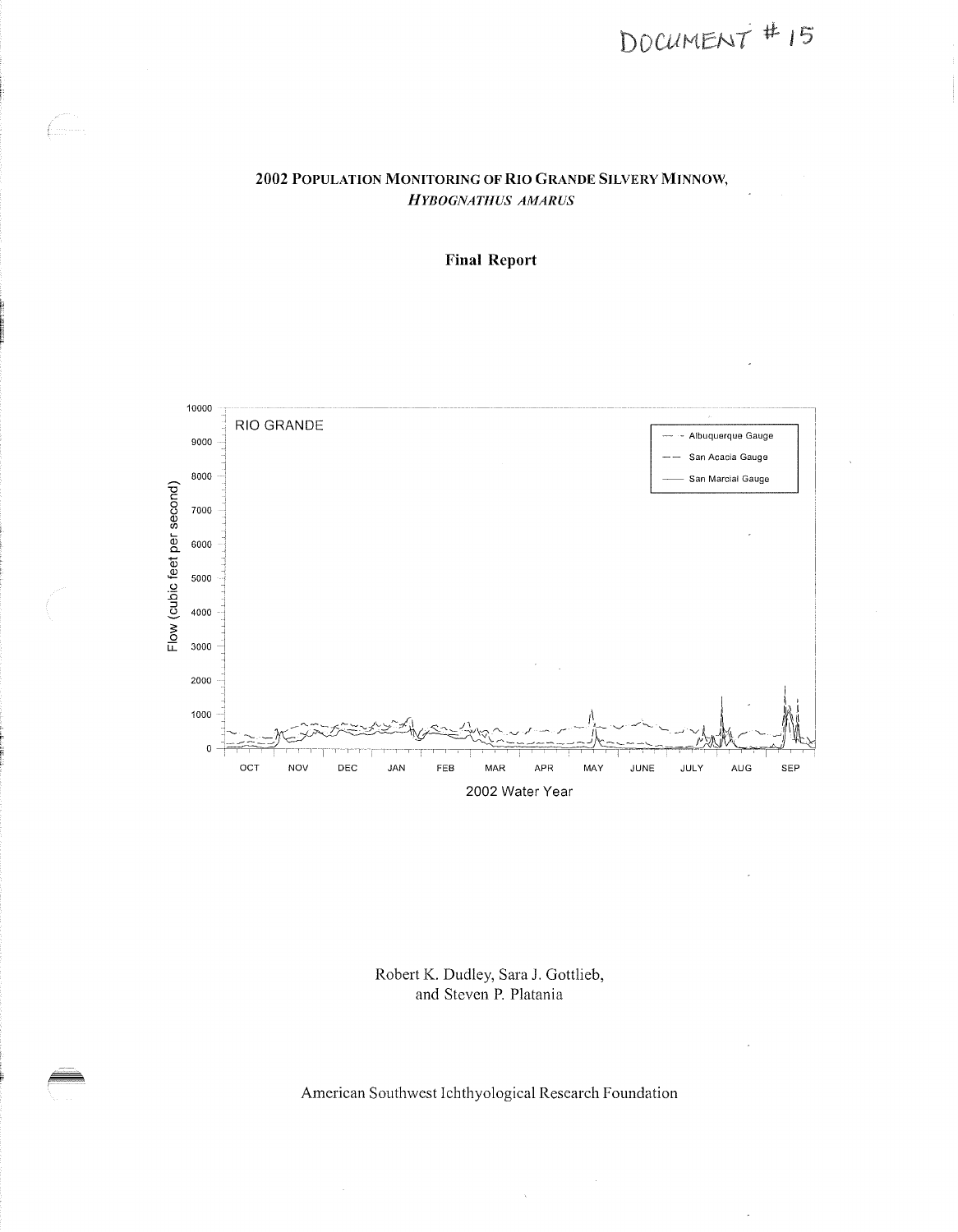# $DOCUMENT$ # 15

#### 2002 POPULATION MONITORING OF RIO GRANDE SILVERY MINNOW, *HYBOGNATHUS AMARUS*

f. ........





Robert K. Dudley, Sara J. Gottlieb, and Steven P. Platania

American Southwest Ichthyological Research Foundation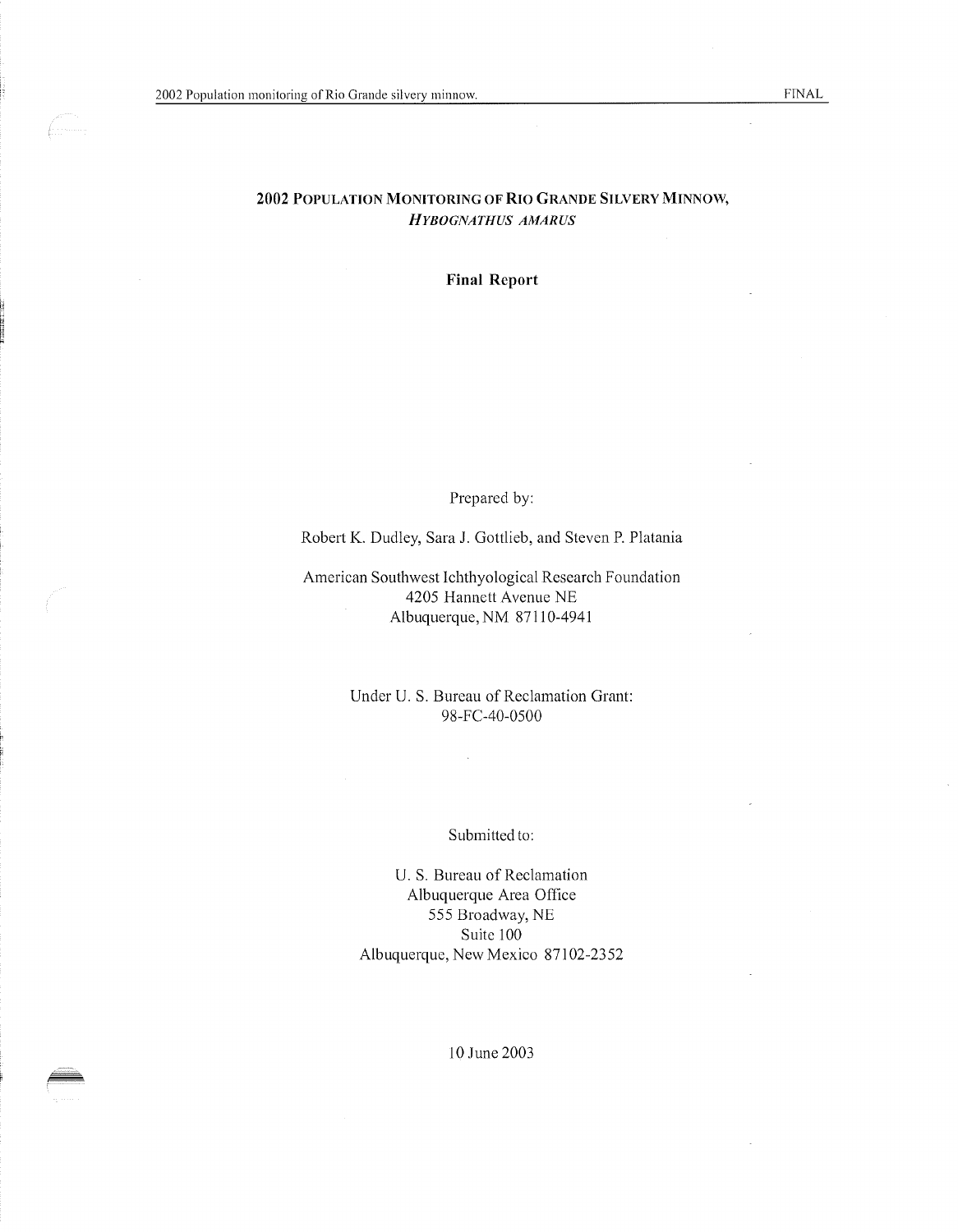f. . . . . . . . . .

#### 2002 POPULATION MONITORING OF RIO GRANDE SILVERY MINNOW, *HYBOGNATHUS AMARUS*

Final Report

Prepared by:

Robert K. Dudley, Sara J. Gottlieb, and Steven P. Platania

American Southwest Ichthyological Research Foundation 4205 Hannett Avenue NE Albuquerque, NM 87110-4941

> Under U. S. Bureau of Reclamation Grant: 98-FC-40-0500

#### Submitted to:

U. S. Bureau of Reclamation Albuquerque Area Office 555 Broadway, NE Suite 100 Albuquerque, New Mexico 87102-2352

10 June 2003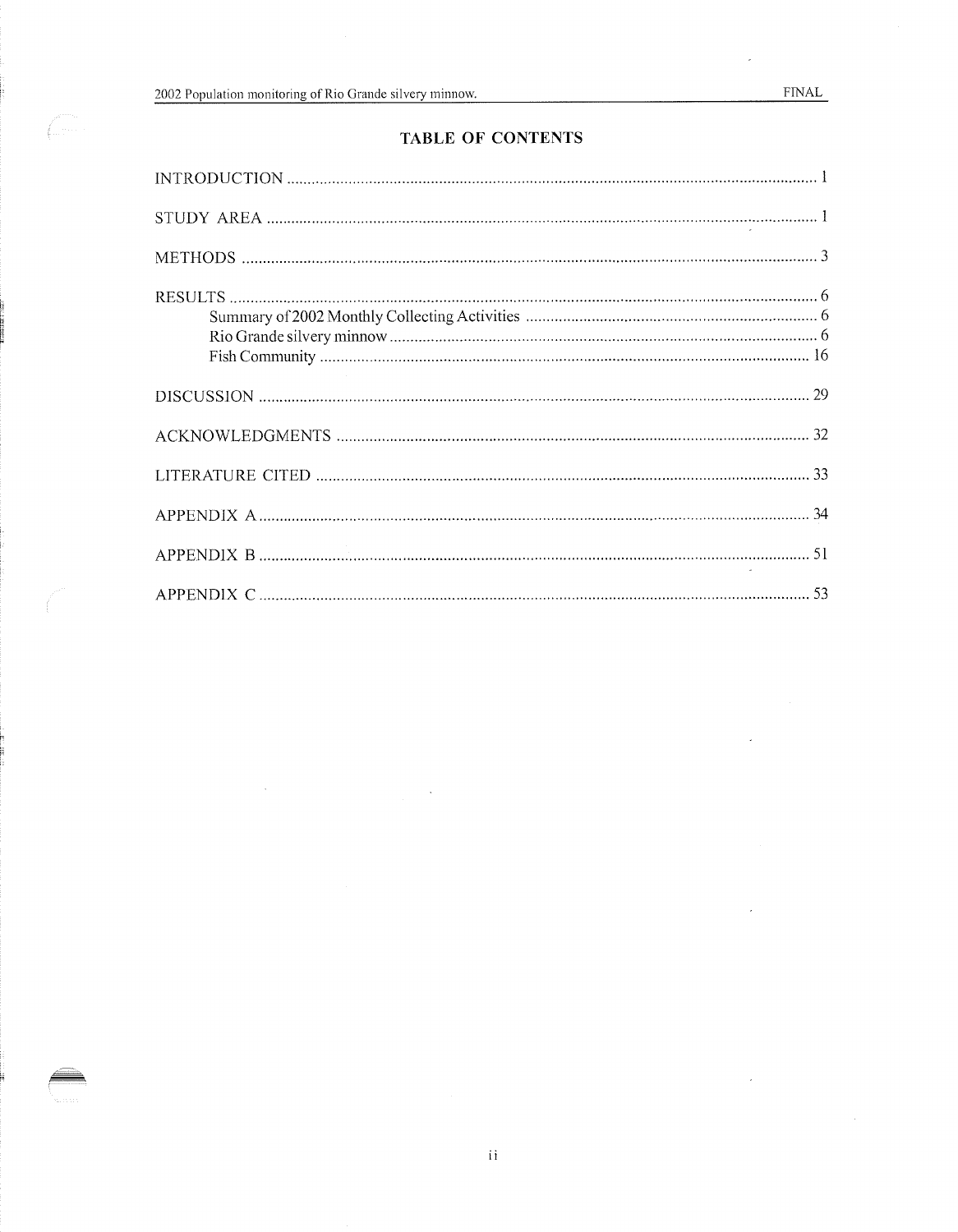L. . . . .

J.

### TABLE OF CONTENTS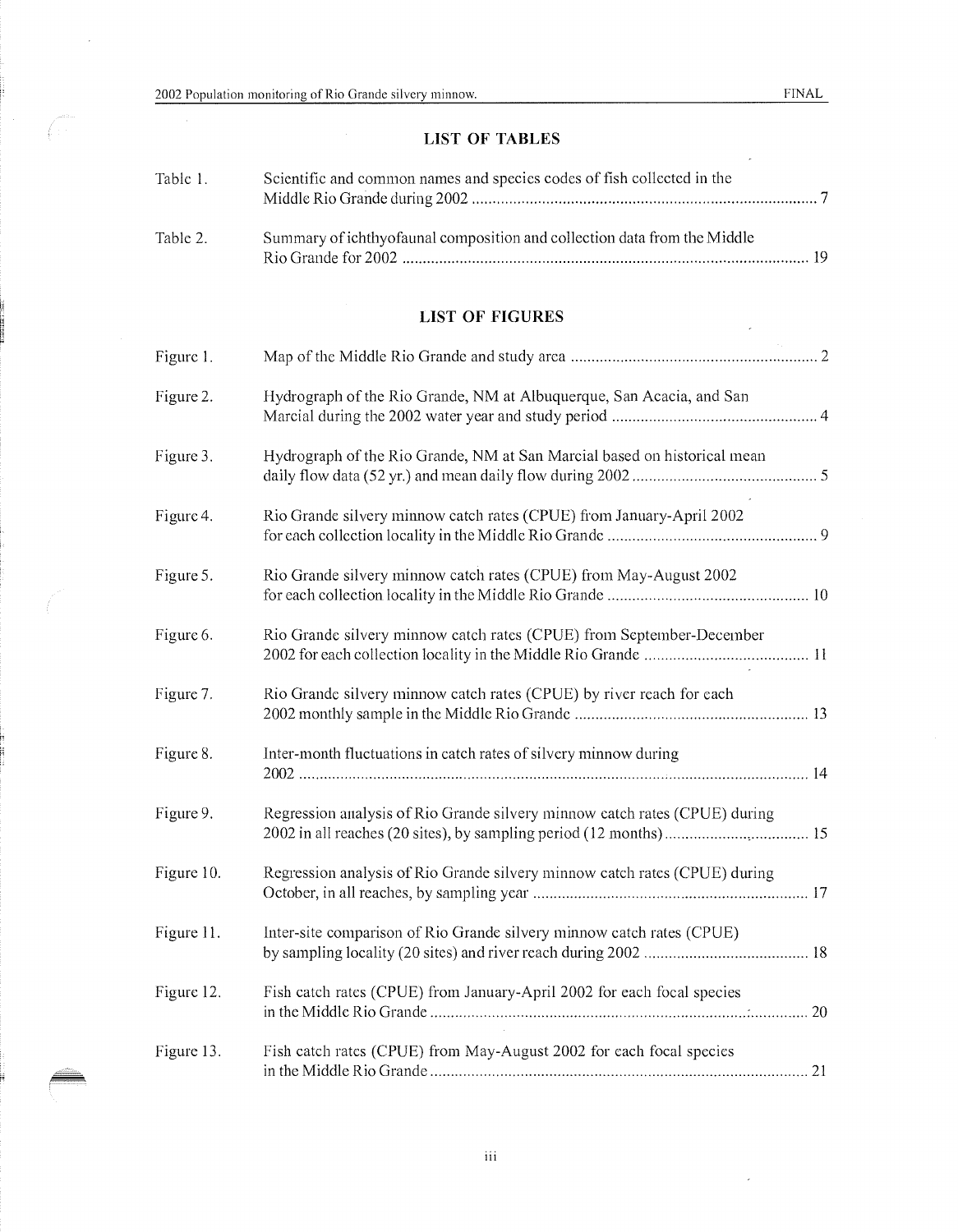$\widehat{C}^{\frac{1}{2}}$ 

l,

## LIST OF TABLES

| Table 1. | Scientific and common names and species codes of fish collected in the   |  |
|----------|--------------------------------------------------------------------------|--|
| Table 2. | Summary of ichthyofaunal composition and collection data from the Middle |  |

#### LIST OF FIGURES

| Figure 1.  |                                                                            |  |
|------------|----------------------------------------------------------------------------|--|
| Figure 2.  | Hydrograph of the Rio Grande, NM at Albuquerque, San Acacia, and San       |  |
| Figure 3.  | Hydrograph of the Rio Grande, NM at San Marcial based on historical mean   |  |
| Figure 4.  | Rio Grande silvery minnow catch rates (CPUE) from January-April 2002       |  |
| Figure 5.  | Rio Grande silvery minnow catch rates (CPUE) from May-August 2002          |  |
| Figure 6.  | Rio Grande silvery minnow catch rates (CPUE) from September-December       |  |
| Figure 7.  | Rio Grande silvery minnow catch rates (CPUE) by river reach for each       |  |
| Figure 8.  | Inter-month fluctuations in catch rates of silvery minnow during           |  |
| Figure 9.  | Regression analysis of Rio Grande silvery minnow catch rates (CPUE) during |  |
| Figure 10. | Regression analysis of Rio Grande silvery minnow catch rates (CPUE) during |  |
| Figure 11. | Inter-site comparison of Rio Grande silvery minnow catch rates (CPUE)      |  |
| Figure 12. | Fish catch rates (CPUE) from January-April 2002 for each focal species     |  |
| Figure 13. | Fish catch rates (CPUE) from May-August 2002 for each focal species        |  |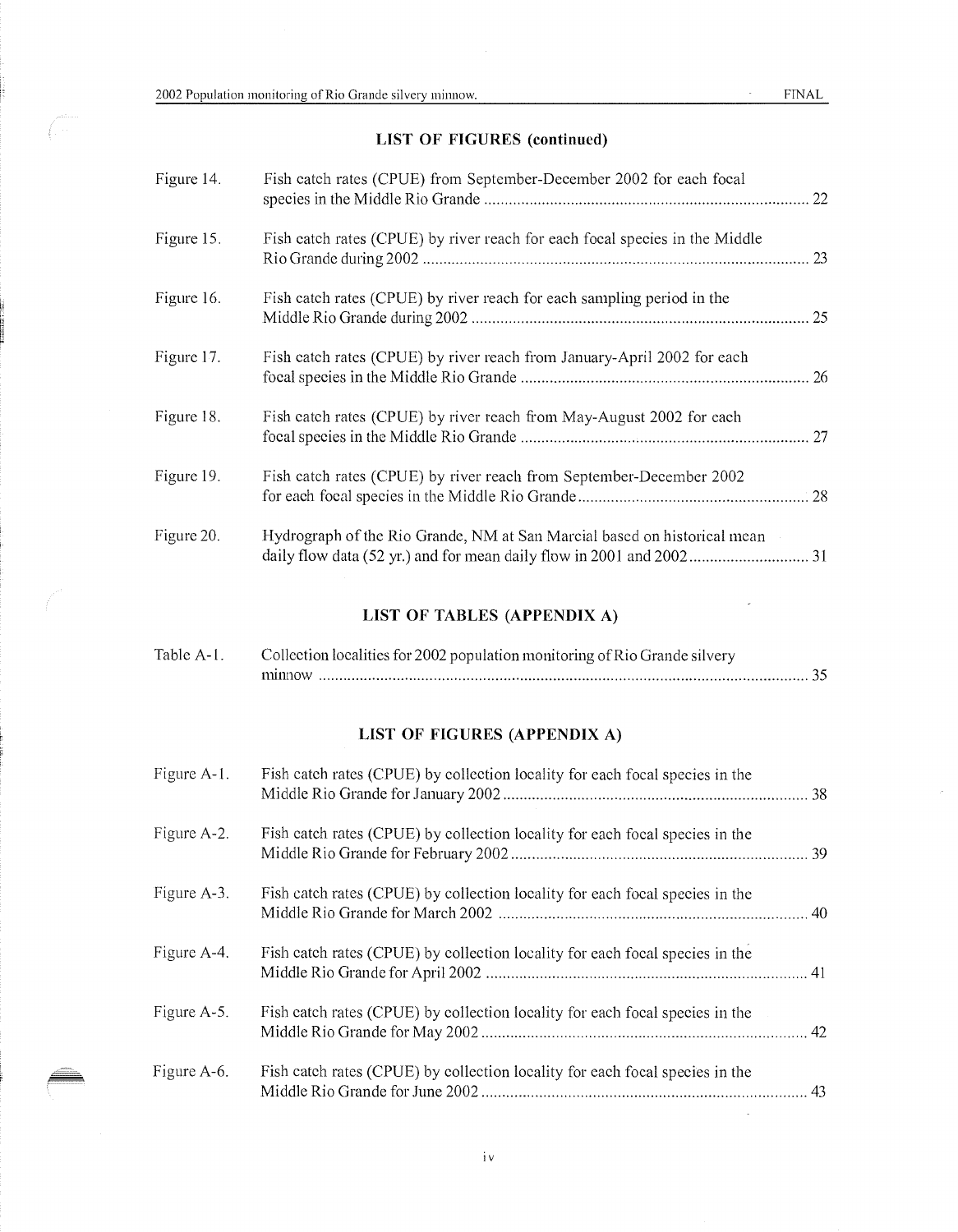$\hat{\vec{r}}$ 

## LIST OF FIGURES (continued)

| Figure 14. | Fish catch rates (CPUE) from September-December 2002 for each focal         |  |
|------------|-----------------------------------------------------------------------------|--|
| Figure 15. | Fish catch rates (CPUE) by river reach for each focal species in the Middle |  |
| Figure 16. | Fish catch rates (CPUE) by river reach for each sampling period in the      |  |
| Figure 17. | Fish eatch rates (CPUE) by river reach from January-April 2002 for each     |  |
| Figure 18. | Fish catch rates (CPUE) by river reach from May-August 2002 for each        |  |
| Figure 19. | Fish catch rates (CPUE) by river reach from September-December 2002         |  |
| Figure 20. | Hydrograph of the Rio Grande, NM at San Marcial based on historical mean    |  |

#### LIST OF TABLES (APPENDIX A)

| Table A-1. | Collection localities for 2002 population monitoring of Rio Grande silvery |
|------------|----------------------------------------------------------------------------|
|            | minnow                                                                     |

## LIST OF FIGURES (APPENDIX A)

| Figure A-1. | Fish catch rates (CPUE) by collection locality for each focal species in the |  |
|-------------|------------------------------------------------------------------------------|--|
| Figure A-2. | Fish eatch rates (CPUE) by collection locality for each focal species in the |  |
| Figure A-3. | Fish catch rates (CPUE) by collection locality for each focal species in the |  |
| Figure A-4. | Fish catch rates (CPUE) by collection locality for each focal species in the |  |
| Figure A-5. | Fish catch rates (CPUE) by collection locality for each focal species in the |  |
| Figure A-6. | Fish catch rates (CPUE) by collection locality for each focal species in the |  |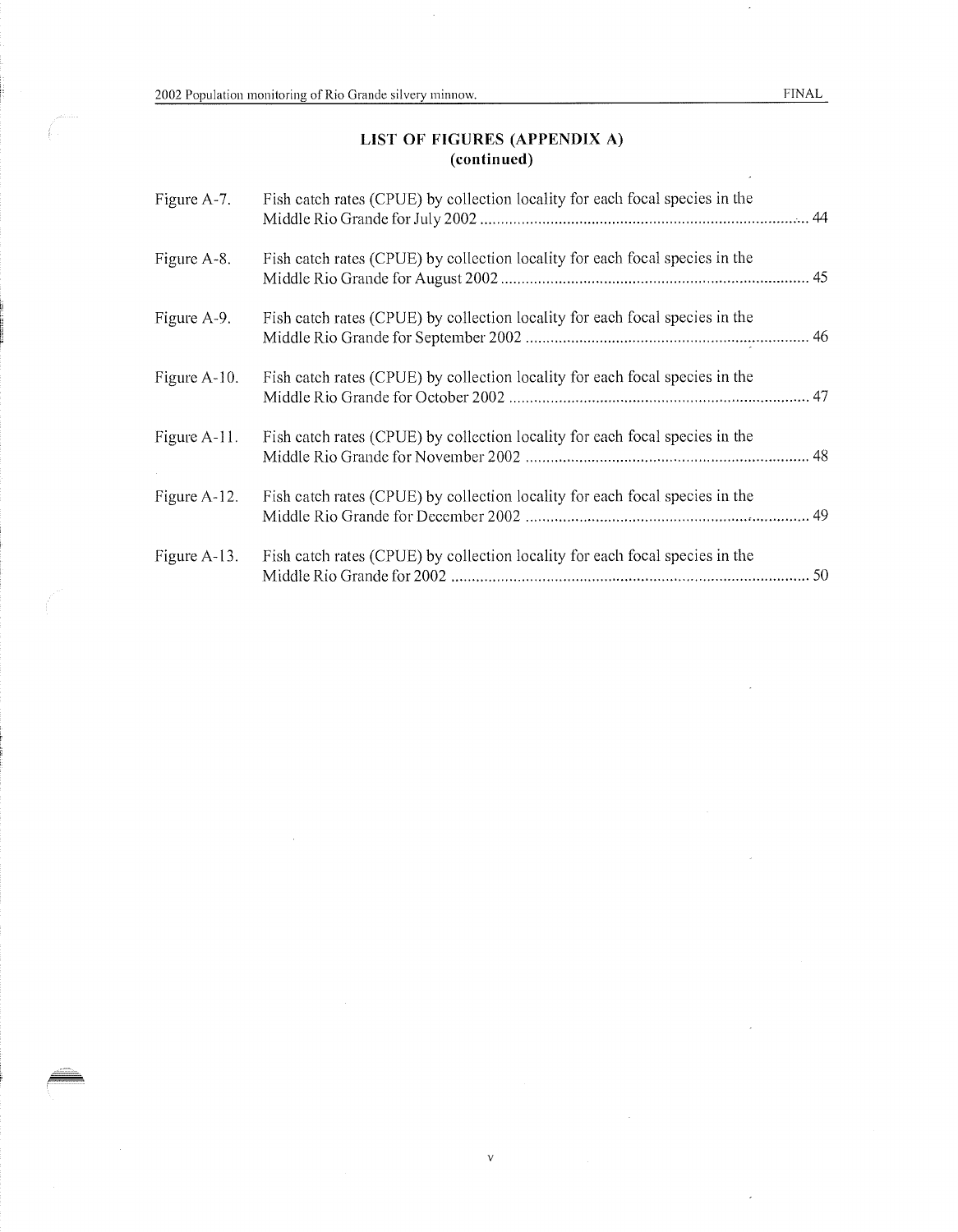$\bar{z}$ 

#### LIST OF FIGURES (APPENDIX A) (continued)

| Figure A-7.  | Fish catch rates (CPUE) by collection locality for each focal species in the |  |
|--------------|------------------------------------------------------------------------------|--|
| Figure A-8.  | Fish catch rates (CPUE) by collection locality for each focal species in the |  |
| Figure A-9.  | Fish catch rates (CPUE) by collection locality for each focal species in the |  |
| Figure A-10. | Fish catch rates (CPUE) by collection locality for each focal species in the |  |
| Figure A-11. | Fish catch rates (CPUE) by collection locality for each focal species in the |  |
| Figure A-12. | Fish catch rates (CPUE) by collection locality for each focal species in the |  |
| Figure A-13. | Fish catch rates (CPUE) by collection locality for each focal species in the |  |

 $\bar{\mathbf{v}}$